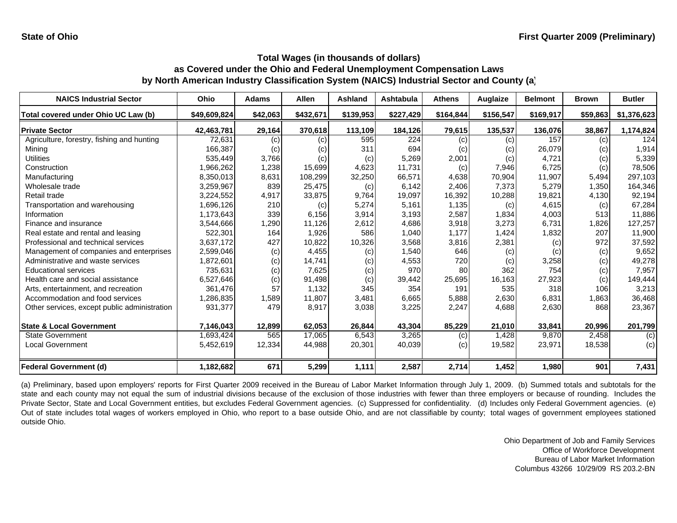| <b>NAICS Industrial Sector</b>               | Ohio         | <b>Adams</b> | <b>Allen</b> | Ashland   | Ashtabula | <b>Athens</b> | Auglaize  | <b>Belmont</b> | <b>Brown</b> | <b>Butler</b> |
|----------------------------------------------|--------------|--------------|--------------|-----------|-----------|---------------|-----------|----------------|--------------|---------------|
| Total covered under Ohio UC Law (b)          | \$49,609,824 | \$42,063     | \$432,671    | \$139,953 | \$227,429 | \$164,844     | \$156,547 | \$169,917      | \$59,863     | \$1,376,623   |
| <b>Private Sector</b>                        | 42,463,781   | 29,164       | 370,618      | 113,109   | 184,126   | 79,615        | 135,537   | 136,076        | 38,867       | 1,174,824     |
| Agriculture, forestry, fishing and hunting   | 72,631       | (c)          | (c)          | 595       | 224       | (c)           | (c)       | 157            | (c)          | 124           |
| Mining                                       | 166,387      | (c)          | (c)          | 311       | 694       | (c)           | (c)       | 26,079         | (c)          | 1,914         |
| Utilities                                    | 535,449      | 3,766        | (c)          | (c)       | 5,269     | 2,001         | (c)       | 4,721          | (c)          | 5,339         |
| Construction                                 | 1,966,262    | 1,238        | 15,699       | 4,623     | 11,731    | (c)           | 7,946     | 6,725          | (c)          | 78,506        |
| Manufacturing                                | 8,350,013    | 8,631        | 108,299      | 32,250    | 66,571    | 4,638         | 70,904    | 11,907         | 5,494        | 297,103       |
| Wholesale trade                              | 3,259,967    | 839          | 25,475       | (c)       | 6,142     | 2,406         | 7,373     | 5,279          | 1,350        | 164,346       |
| Retail trade                                 | 3,224,552    | 4,917        | 33,875       | 9,764     | 19,097    | 16,392        | 10,288    | 19,821         | 4,130        | 92,194        |
| Transportation and warehousing               | 1,696,126    | 210          | (c)          | 5,274     | 5,161     | 1,135         | (c)       | 4,615          | (c)          | 67,284        |
| Information                                  | 1,173,643    | 339          | 6,156        | 3,914     | 3,193     | 2,587         | 1,834     | 4,003          | 513          | 11,886        |
| Finance and insurance                        | 3,544,666    | 1,290        | 11,126       | 2,612     | 4,686     | 3,918         | 3,273     | 6,731          | 1,826        | 127,257       |
| Real estate and rental and leasing           | 522,301      | 164          | 1,926        | 586       | 1,040     | 1.177         | 1,424     | 1,832          | 207          | 11,900        |
| Professional and technical services          | 3,637,172    | 427          | 10,822       | 10,326    | 3,568     | 3,816         | 2,381     | (c)            | 972          | 37,592        |
| Management of companies and enterprises      | 2,599,046    | (c)          | 4,455        | (c)       | 1,540     | 646           | (c)       | (c)            | (c)          | 9,652         |
| Administrative and waste services            | 1,872,601    | (c)          | 14,741       | (c)       | 4,553     | 720           | (c)       | 3,258          | (c)          | 49,278        |
| <b>Educational services</b>                  | 735,631      | (c)          | 7,625        | (c)       | 970       | 80            | 362       | 754            | (c)          | 7,957         |
| Health care and social assistance            | 6,527,646    | (c)          | 91,498       | (c)       | 39,442    | 25,695        | 16,163    | 27,923         | (c)          | 149,444       |
| Arts, entertainment, and recreation          | 361,476      | 57           | 1,132        | 345       | 354       | 191           | 535       | 318            | 106          | 3,213         |
| Accommodation and food services              | 1,286,835    | 1,589        | 11,807       | 3,481     | 6,665     | 5,888         | 2,630     | 6,831          | 1,863        | 36,468        |
| Other services, except public administration | 931,377      | 479          | 8,917        | 3,038     | 3,225     | 2,247         | 4,688     | 2,630          | 868          | 23,367        |
| <b>State &amp; Local Government</b>          | 7,146,043    | 12,899       | 62,053       | 26,844    | 43,304    | 85,229        | 21,010    | 33,841         | 20,996       | 201,799       |
| <b>State Government</b>                      | 1,693,424    | 565          | 17,065       | 6,543     | 3,265     | (c)           | 1,428     | 9,870          | 2,458        | (c)           |
| Local Government                             | 5,452,619    | 12,334       | 44,988       | 20,301    | 40,039    | (c)           | 19,582    | 23,971         | 18,538       | (c)           |
| Federal Government (d)                       | 1,182,682    | 671          | 5,299        | 1,111     | 2,587     | 2,714         | 1,452     | 1,980          | 901          | 7,431         |

(a) Preliminary, based upon employers' reports for First Quarter 2009 received in the Bureau of Labor Market Information through July 1, 2009. (b) Summed totals and subtotals for the state and each county may not equal the sum of industrial divisions because of the exclusion of those industries with fewer than three employers or because of rounding. Includes the Private Sector, State and Local Government entities, but excludes Federal Government agencies. (c) Suppressed for confidentiality. (d) Includes only Federal Government agencies. (e) Out of state includes total wages of workers employed in Ohio, who report to <sup>a</sup> base outside Ohio, and are not classifiable by county; total wages of government employees stationed outside Ohio.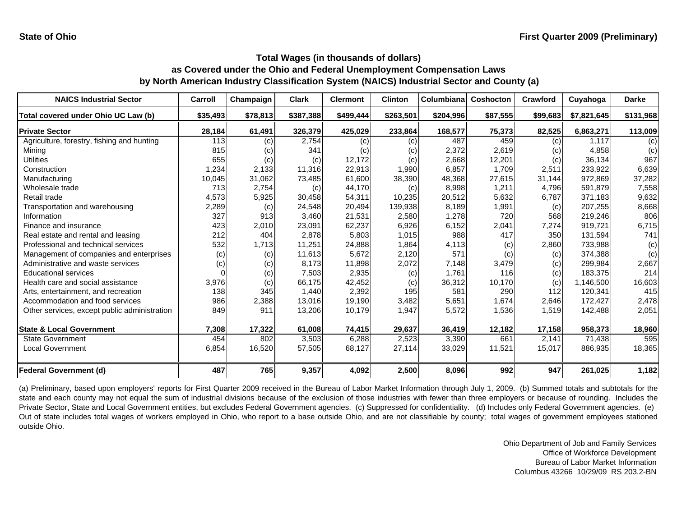| <b>NAICS Industrial Sector</b>               | Carroll  | Champaign | <b>Clark</b> | <b>Clermont</b> | <b>Clinton</b> | Columbiana | <b>Coshocton</b> | Crawford | Cuyahoga    | <b>Darke</b> |
|----------------------------------------------|----------|-----------|--------------|-----------------|----------------|------------|------------------|----------|-------------|--------------|
| Total covered under Ohio UC Law (b)          | \$35,493 | \$78,813  | \$387,388    | \$499,444       | \$263,501      | \$204,996  | \$87,555         | \$99,683 | \$7,821,645 | \$131,968    |
| <b>Private Sector</b>                        | 28,184   | 61,491    | 326,379      | 425,029         | 233,864        | 168,577    | 75,373           | 82,525   | 6,863,271   | 113,009      |
| Agriculture, forestry, fishing and hunting   | 113      | (c)       | 2,754        | (c)             | (c)            | 487        | 459              | (c)      | 1.117       | (c)          |
| Minina                                       | 815      | (c)       | 341          | (c)             | (c)            | 2,372      | 2,619            | (c)      | 4,858       | (c)          |
| Utilities                                    | 655      | (c)       | (c)          | 12,172          | (c)            | 2,668      | 12,201           | (c)      | 36,134      | 967          |
| Construction                                 | 1,234    | 2,133     | 11,316       | 22,913          | 1,990          | 6,857      | 1.709            | 2,511    | 233.922     | 6,639        |
| Manufacturing                                | 10,045   | 31,062    | 73,485       | 61,600          | 38,390         | 48,368     | 27,615           | 31,144   | 972.869     | 37,282       |
| Wholesale trade                              | 713      | 2,754     | (c)          | 44,170          | (c)            | 8,998      | 1,211            | 4,796    | 591,879     | 7,558        |
| Retail trade                                 | 4,573    | 5,925     | 30,458       | 54,311          | 10,235         | 20,512     | 5,632            | 6,787    | 371,183     | 9,632        |
| Transportation and warehousing               | 2,289    | (c)       | 24,548       | 20,494          | 139,938        | 8,189      | 1,991            | (c)      | 207,255     | 8,668        |
| Information                                  | 327      | 913       | 3,460        | 21,531          | 2,580          | 1,278      | 720              | 568      | 219,246     | 806          |
| Finance and insurance                        | 423      | 2,010     | 23,091       | 62,237          | 6,926          | 6,152      | 2,041            | 7,274    | 919,721     | 6,715        |
| Real estate and rental and leasing           | 212      | 404       | 2,878        | 5,803           | 1,015          | 988        | 417              | 350      | 131,594     | 741          |
| Professional and technical services          | 532      | 1,713     | 11,251       | 24,888          | 1,864          | 4,113      | (c)              | 2,860    | 733,988     | (c)          |
| Management of companies and enterprises      | (c)      | (c)       | 11,613       | 5,672           | 2,120          | 571        | (c)              | (c)      | 374,388     | (c)          |
| Administrative and waste services            | (c)      | (c)       | 8,173        | 11,898          | 2,072          | 7,148      | 3,479            | (c)      | 299,984     | 2,667        |
| <b>Educational services</b>                  |          | (c)       | 7,503        | 2,935           | (c)            | 1,761      | 116              | (c)      | 183,375     | 214          |
| Health care and social assistance            | 3,976    | (c)       | 66,175       | 42,452          | (c)            | 36,312     | 10,170           | (c)      | 1,146,500   | 16,603       |
| Arts, entertainment, and recreation          | 138      | 345       | 1.440        | 2,392           | 195            | 581        | 290              | 112      | 120,341     | 415          |
| Accommodation and food services              | 986      | 2,388     | 13,016       | 19,190          | 3,482          | 5,651      | 1,674            | 2,646    | 172,427     | 2,478        |
| Other services, except public administration | 849      | 911       | 13,206       | 10,179          | 1,947          | 5,572      | 1,536            | 1,519    | 142,488     | 2,051        |
| <b>State &amp; Local Government</b>          | 7,308    | 17,322    | 61,008       | 74,415          | 29,637         | 36,419     | 12,182           | 17,158   | 958,373     | 18,960       |
| <b>State Government</b>                      | 454      | 802       | 3,503        | 6,288           | 2,523          | 3,390      | 661              | 2,141    | 71,438      | 595          |
| <b>Local Government</b>                      | 6,854    | 16,520    | 57,505       | 68,127          | 27,114         | 33,029     | 11,521           | 15,017   | 886,935     | 18,365       |
| <b>Federal Government (d)</b>                | 487      | 765       | 9,357        | 4,092           | 2,500          | 8,096      | 992              | 947      | 261,025     | 1,182        |

(a) Preliminary, based upon employers' reports for First Quarter 2009 received in the Bureau of Labor Market Information through July 1, 2009. (b) Summed totals and subtotals for the state and each county may not equal the sum of industrial divisions because of the exclusion of those industries with fewer than three employers or because of rounding. Includes the Private Sector, State and Local Government entities, but excludes Federal Government agencies. (c) Suppressed for confidentiality. (d) Includes only Federal Government agencies. (e) Out of state includes total wages of workers employed in Ohio, who report to <sup>a</sup> base outside Ohio, and are not classifiable by county; total wages of government employees stationed outside Ohio.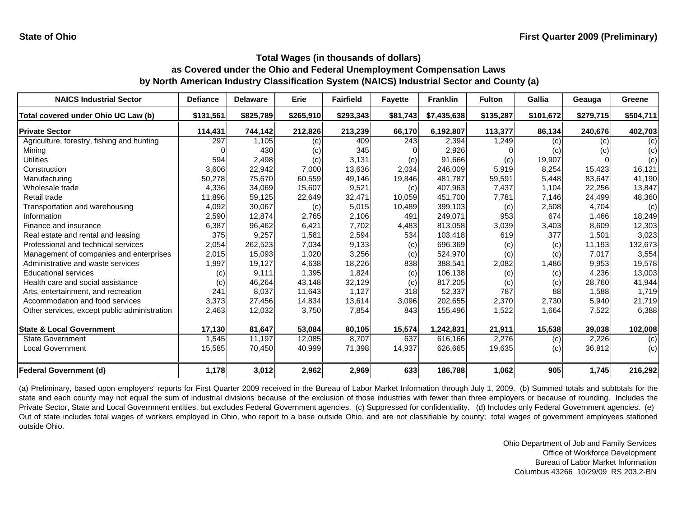| <b>NAICS Industrial Sector</b>               | <b>Defiance</b> | <b>Delaware</b> | Erie      | <b>Fairfield</b> | <b>Fayette</b> | <b>Franklin</b> | <b>Fulton</b> | Gallia    | Geauga    | Greene    |
|----------------------------------------------|-----------------|-----------------|-----------|------------------|----------------|-----------------|---------------|-----------|-----------|-----------|
| Total covered under Ohio UC Law (b)          | \$131,561       | \$825,789       | \$265,910 | \$293,343        | \$81,743       | \$7,435,638     | \$135,287     | \$101,672 | \$279,715 | \$504,711 |
| <b>Private Sector</b>                        | 114,431         | 744,142         | 212,826   | 213,239          | 66,170         | 6,192,807       | 113,377       | 86,134    | 240,676   | 402,703   |
| Agriculture, forestry, fishing and hunting   | 297             | 1,105           | (c)       | 409              | 243            | 2,394           | 1,249         | (c)       | (c)       | (c)       |
| Mining                                       |                 | 430             | (c)       | 345              |                | 2,926           |               | (c)       | (c)       | (c)       |
| <b>Utilities</b>                             | 594             | 2,498           | (c)       | 3,131            | (c)            | 91,666          | (c)           | 19,907    |           | (c)       |
| Construction                                 | 3,606           | 22,942          | 7,000     | 13,636           | 2,034          | 246,009         | 5,919         | 8,254     | 15.423    | 16,121    |
| Manufacturing                                | 50,278          | 75,670          | 60,559    | 49,146           | 19,846         | 481,787         | 59,591        | 5,448     | 83,647    | 41,190    |
| Wholesale trade                              | 4,336           | 34,069          | 15,607    | 9,521            | (c)            | 407,963         | 7,437         | 1,104     | 22,256    | 13,847    |
| Retail trade                                 | 11,896          | 59,125          | 22,649    | 32,471           | 10,059         | 451,700         | 7,781         | 7,146     | 24,499    | 48,360    |
| Transportation and warehousing               | 4,092           | 30,067          | (c)       | 5,015            | 10,489         | 399,103         | (c)           | 2,508     | 4,704     | (c)       |
| Information                                  | 2,590           | 12,874          | 2,765     | 2,106            | 491            | 249.071         | 953           | 674       | 1.466     | 18,249    |
| Finance and insurance                        | 6,387           | 96,462          | 6,421     | 7,702            | 4,483          | 813,058         | 3,039         | 3,403     | 8,609     | 12,303    |
| Real estate and rental and leasing           | 375             | 9,257           | 1,581     | 2,594            | 534            | 103.418         | 619           | 377       | 1.501     | 3,023     |
| Professional and technical services          | 2,054           | 262,523         | 7,034     | 9,133            | (c)            | 696,369         | (c)           | (c)       | 11,193    | 132,673   |
| Management of companies and enterprises      | 2,015           | 15,093          | 1,020     | 3,256            | (c)            | 524,970         | (c)           | (c)       | 7,017     | 3,554     |
| Administrative and waste services            | 1,997           | 19,127          | 4,638     | 18,226           | 838            | 388,541         | 2,082         | 1,486     | 9,953     | 19,578    |
| <b>Educational services</b>                  | (c)             | 9,111           | 1,395     | 1,824            | (c)            | 106,138         | (c)           | (c)       | 4,236     | 13,003    |
| Health care and social assistance            | (c)             | 46,264          | 43,148    | 32,129           | (c)            | 817,205         | (c)           | (c)       | 28,760    | 41,944    |
| Arts, entertainment, and recreation          | 241             | 8,037           | 11,643    | 1,127            | 318            | 52,337          | 787           | 88        | 1,588     | 1,719     |
| Accommodation and food services              | 3,373           | 27,456          | 14,834    | 13,614           | 3,096          | 202,655         | 2,370         | 2,730     | 5,940     | 21,719    |
| Other services, except public administration | 2,463           | 12,032          | 3,750     | 7,854            | 843            | 155,496         | 1,522         | 1,664     | 7,522     | 6,388     |
| <b>State &amp; Local Government</b>          | 17,130          | 81,647          | 53,084    | 80,105           | 15,574         | 1,242,831       | 21,911        | 15,538    | 39,038    | 102,008   |
| <b>State Government</b>                      | 1,545           | 11.197          | 12,085    | 8.707            | 637            | 616,166         | 2,276         | (c)       | 2,226     | (c)       |
| Local Government                             | 15,585          | 70,450          | 40,999    | 71,398           | 14,937         | 626,665         | 19,635        | (c)       | 36,812    | (c)       |
| <b>Federal Government (d)</b>                | 1,178           | 3,012           | 2,962     | 2,969            | 633            | 186,788         | 1,062         | 905       | 1,745     | 216,292   |

(a) Preliminary, based upon employers' reports for First Quarter 2009 received in the Bureau of Labor Market Information through July 1, 2009. (b) Summed totals and subtotals for the state and each county may not equal the sum of industrial divisions because of the exclusion of those industries with fewer than three employers or because of rounding. Includes the Private Sector, State and Local Government entities, but excludes Federal Government agencies. (c) Suppressed for confidentiality. (d) Includes only Federal Government agencies. (e) Out of state includes total wages of workers employed in Ohio, who report to <sup>a</sup> base outside Ohio, and are not classifiable by county; total wages of government employees stationed outside Ohio.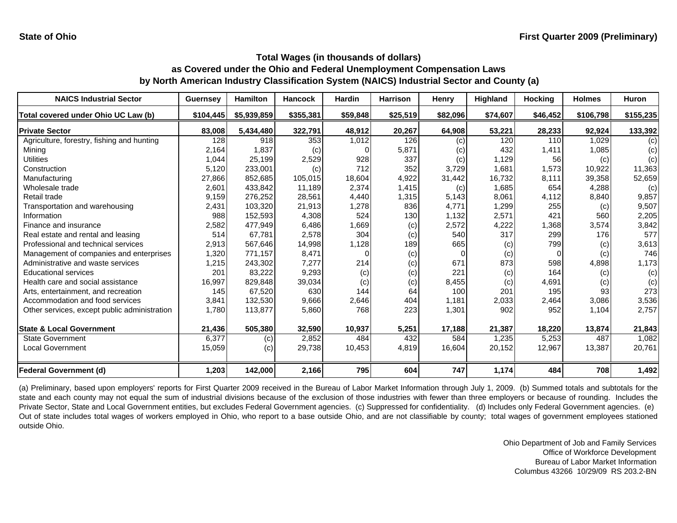| <b>NAICS Industrial Sector</b>               | <b>Guernsey</b> | <b>Hamilton</b> | <b>Hancock</b> | <b>Hardin</b> | <b>Harrison</b> | Henry    | Highland | <b>Hocking</b> | <b>Holmes</b>      | Huron     |
|----------------------------------------------|-----------------|-----------------|----------------|---------------|-----------------|----------|----------|----------------|--------------------|-----------|
| Total covered under Ohio UC Law (b)          | \$104,445       | \$5,939,859     | \$355,381      | \$59,848      | \$25,519        | \$82,096 | \$74,607 | \$46,452       | \$106,798          | \$155,235 |
| <b>Private Sector</b>                        | 83,008          | 5,434,480       | 322,791        | 48,912        | 20,267          | 64,908   | 53,221   | 28,233         | 92,924             | 133,392   |
| Agriculture, forestry, fishing and hunting   | 128             | 918             | 353            | 1,012         | 126             | (c)      | 120      | 110            | $\overline{1,029}$ | (c)       |
| Mining                                       | 2,164           | 1,837           | (c)            |               | 5,871           | (c)      | 432      | 1,411          | 1,085              | (c)       |
| <b>Utilities</b>                             | 1,044           | 25,199          | 2,529          | 928           | 337             | (c)      | 1,129    | 56             | (c)                | (c)       |
| Construction                                 | 5,120           | 233,001         | (c)            | 712           | 352             | 3,729    | 1,681    | 1,573          | 10,922             | 11,363    |
| Manufacturing                                | 27,866          | 852,685         | 105,015        | 18,604        | 4,922           | 31,442   | 16,732   | 8,111          | 39,358             | 52,659    |
| Wholesale trade                              | 2,601           | 433,842         | 11,189         | 2,374         | 1,415           | (c)      | 1,685    | 654            | 4,288              | (c)       |
| Retail trade                                 | 9,159           | 276,252         | 28,561         | 4,440         | 1,315           | 5,143    | 8,061    | 4,112          | 8,840              | 9,857     |
| Transportation and warehousing               | 2,431           | 103,320         | 21,913         | 1,278         | 836             | 4,771    | 1,299    | 255            | (c)                | 9,507     |
| Information                                  | 988             | 152,593         | 4,308          | 524           | 130             | 1,132    | 2,571    | 421            | 560                | 2,205     |
| Finance and insurance                        | 2,582           | 477,949         | 6,486          | 1,669         | (c)             | 2,572    | 4,222    | 1,368          | 3,574              | 3,842     |
| Real estate and rental and leasing           | 514             | 67,781          | 2,578          | 304           | (c)             | 540      | 317      | 299            | 176                | 577       |
| Professional and technical services          | 2,913           | 567,646         | 14,998         | 1,128         | 189             | 665      | (c)      | 799            | (c)                | 3,613     |
| Management of companies and enterprises      | 1,320           | 771,157         | 8,471          | O             | (c)             |          | (c)      | $\Omega$       | (c)                | 746       |
| Administrative and waste services            | 1,215           | 243,302         | 7,277          | 214           | (c)             | 671      | 873      | 598            | 4,898              | 1,173     |
| <b>Educational services</b>                  | 201             | 83,222          | 9,293          | (c)           | (c)             | 221      | (c)      | 164            | (c)                | (c)       |
| Health care and social assistance            | 16,997          | 829,848         | 39,034         | (c)           | (c)             | 8,455    | (c)      | 4,691          | (c)                | (c)       |
| Arts, entertainment, and recreation          | 145             | 67,520          | 630            | 144           | 64              | 100      | 201      | 195            | 93                 | 273       |
| Accommodation and food services              | 3,841           | 132,530         | 9,666          | 2,646         | 404             | 1,181    | 2,033    | 2,464          | 3,086              | 3,536     |
| Other services, except public administration | 1,780           | 113,877         | 5,860          | 768           | 223             | 1,301    | 902      | 952            | 1,104              | 2,757     |
| <b>State &amp; Local Government</b>          | 21,436          | 505,380         | 32,590         | 10,937        | 5,251           | 17,188   | 21,387   | 18,220         | 13,874             | 21,843    |
| <b>State Government</b>                      | 6,377           | (c)             | 2,852          | 484           | 432             | 584      | 1,235    | 5,253          | 487                | 1,082     |
| Local Government                             | 15,059          | (c)             | 29,738         | 10,453        | 4,819           | 16,604   | 20,152   | 12,967         | 13,387             | 20,761    |
| <b>Federal Government (d)</b>                | 1,203           | 142,000         | 2,166          | 795           | 604             | 747      | 1,174    | 484            | 708                | 1,492     |

(a) Preliminary, based upon employers' reports for First Quarter 2009 received in the Bureau of Labor Market Information through July 1, 2009. (b) Summed totals and subtotals for the state and each county may not equal the sum of industrial divisions because of the exclusion of those industries with fewer than three employers or because of rounding. Includes the Private Sector, State and Local Government entities, but excludes Federal Government agencies. (c) Suppressed for confidentiality. (d) Includes only Federal Government agencies. (e) Out of state includes total wages of workers employed in Ohio, who report to <sup>a</sup> base outside Ohio, and are not classifiable by county; total wages of government employees stationed outside Ohio.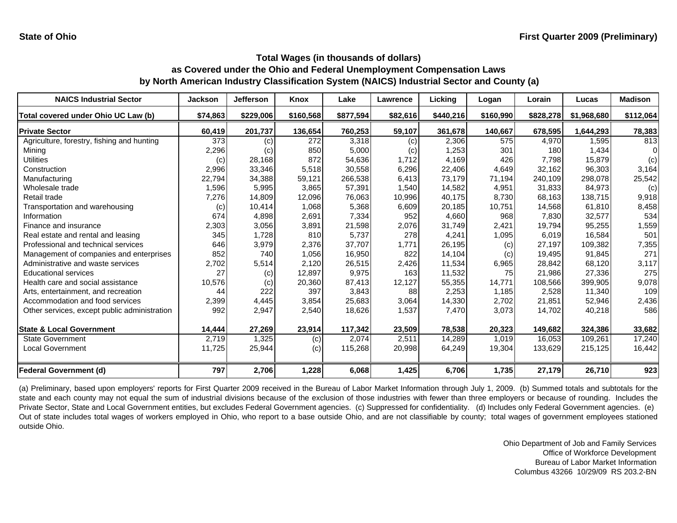| <b>NAICS Industrial Sector</b>               | <b>Jackson</b> | Jefferson | Knox      | Lake      | Lawrence | Licking   | Logan     | Lorain    | Lucas       | <b>Madison</b> |
|----------------------------------------------|----------------|-----------|-----------|-----------|----------|-----------|-----------|-----------|-------------|----------------|
| Total covered under Ohio UC Law (b)          | \$74,863       | \$229,006 | \$160,568 | \$877,594 | \$82,616 | \$440,216 | \$160,990 | \$828,278 | \$1,968,680 | \$112,064      |
| <b>Private Sector</b>                        | 60,419         | 201,737   | 136,654   | 760,253   | 59,107   | 361,678   | 140,667   | 678,595   | 1,644,293   | 78,383         |
| Agriculture, forestry, fishing and hunting   | 373            | (c)       | 272       | 3,318     | (c)      | 2,306     | 575       | 4,970     | 1.595       | 813            |
| Mining                                       | 2,296          | (c)       | 850       | 5,000     | (c)      | 1,253     | 301       | 180       | 1,434       |                |
| <b>Utilities</b>                             | (c)            | 28,168    | 872       | 54,636    | 1,712    | 4,169     | 426       | 7,798     | 15,879      | (c)            |
| Construction                                 | 2,996          | 33,346    | 5,518     | 30,558    | 6,296    | 22,406    | 4,649     | 32,162    | 96,303      | 3,164          |
| Manufacturing                                | 22,794         | 34,388    | 59,121    | 266,538   | 6,413    | 73,179    | 71,194    | 240,109   | 298,078     | 25,542         |
| Wholesale trade                              | 1,596          | 5,995     | 3,865     | 57,391    | 1,540    | 14.582    | 4,951     | 31.833    | 84.973      | (c)            |
| Retail trade                                 | 7,276          | 14,809    | 12,096    | 76.063    | 10,996   | 40,175    | 8,730     | 68,163    | 138,715     | 9,918          |
| Transportation and warehousing               | (c)            | 10,414    | 1,068     | 5,368     | 6,609    | 20,185    | 10,751    | 14,568    | 61,810      | 8,458          |
| Information                                  | 674            | 4,898     | 2,691     | 7,334     | 952      | 4,660     | 968       | 7,830     | 32,577      | 534            |
| Finance and insurance                        | 2,303          | 3,056     | 3,891     | 21,598    | 2,076    | 31,749    | 2,421     | 19,794    | 95,255      | 1,559          |
| Real estate and rental and leasing           | 345            | 1,728     | 810       | 5,737     | 278      | 4,241     | 1,095     | 6,019     | 16,584      | 501            |
| Professional and technical services          | 646            | 3,979     | 2,376     | 37,707    | 1,771    | 26,195    | (c)       | 27,197    | 109,382     | 7,355          |
| Management of companies and enterprises      | 852            | 740       | 1,056     | 16,950    | 822      | 14,104    | (c)       | 19,495    | 91,845      | 271            |
| Administrative and waste services            | 2,702          | 5,514     | 2,120     | 26,515    | 2,426    | 11,534    | 6,965     | 28,842    | 68.120      | 3,117          |
| <b>Educational services</b>                  | 27             | (c)       | 12,897    | 9,975     | 163      | 11,532    | 75        | 21,986    | 27,336      | 275            |
| Health care and social assistance            | 10,576         | (c)       | 20,360    | 87,413    | 12,127   | 55,355    | 14,771    | 108,566   | 399,905     | 9,078          |
| Arts, entertainment, and recreation          | 44             | 222       | 397       | 3,843     | 88       | 2,253     | 1,185     | 2,528     | 11,340      | 109            |
| Accommodation and food services              | 2,399          | 4,445     | 3,854     | 25,683    | 3,064    | 14,330    | 2,702     | 21,851    | 52,946      | 2,436          |
| Other services, except public administration | 992            | 2,947     | 2,540     | 18,626    | 1,537    | 7,470     | 3,073     | 14,702    | 40,218      | 586            |
| <b>State &amp; Local Government</b>          | 14,444         | 27,269    | 23,914    | 117,342   | 23,509   | 78,538    | 20,323    | 149,682   | 324,386     | 33,682         |
| <b>State Government</b>                      | 2,719          | 1,325     | (c)       | 2,074     | 2,511    | 14,289    | 1,019     | 16,053    | 109,261     | 17,240         |
| Local Government                             | 11,725         | 25,944    | (c)       | 115,268   | 20,998   | 64,249    | 19,304    | 133,629   | 215,125     | 16,442         |
| <b>Federal Government (d)</b>                | 797            | 2,706     | 1,228     | 6,068     | 1,425    | 6,706     | 1,735     | 27,179    | 26,710      | 923            |

(a) Preliminary, based upon employers' reports for First Quarter 2009 received in the Bureau of Labor Market Information through July 1, 2009. (b) Summed totals and subtotals for the state and each county may not equal the sum of industrial divisions because of the exclusion of those industries with fewer than three employers or because of rounding. Includes the Private Sector, State and Local Government entities, but excludes Federal Government agencies. (c) Suppressed for confidentiality. (d) Includes only Federal Government agencies. (e) Out of state includes total wages of workers employed in Ohio, who report to <sup>a</sup> base outside Ohio, and are not classifiable by county; total wages of government employees stationed outside Ohio.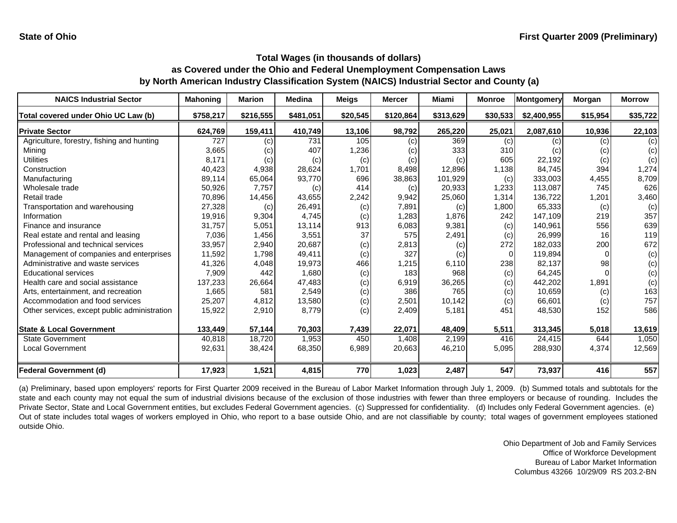| <b>NAICS Industrial Sector</b>               | <b>Mahoning</b> | <b>Marion</b> | <b>Medina</b> | <b>Meigs</b> | <b>Mercer</b> | Miami     | <b>Monroe</b> | Montgomery  | Morgan   | <b>Morrow</b> |
|----------------------------------------------|-----------------|---------------|---------------|--------------|---------------|-----------|---------------|-------------|----------|---------------|
| Total covered under Ohio UC Law (b)          | \$758,217       | \$216,555     | \$481,051     | \$20,545     | \$120,864     | \$313,629 | \$30,533      | \$2,400,955 | \$15,954 | \$35,722      |
| <b>Private Sector</b>                        | 624,769         | 159,411       | 410,749       | 13,106       | 98,792        | 265,220   | 25,021        | 2,087,610   | 10,936   | 22,103        |
| Agriculture, forestry, fishing and hunting   | 727             | (c)           | 731           | 105          | (c)           | 369       | (c)           | (c)         | (c)      | (c)           |
| Mining                                       | 3,665           | (c)           | 407           | 1,236        | (c)           | 333       | 310           | (c)         | (c)      | (c)           |
| Utilities                                    | 8,171           | (c)           | (c)           | (c)          | (c)           | (c)       | 605           | 22,192      | (c)      | (c)           |
| Construction                                 | 40,423          | 4,938         | 28,624        | 1,701        | 8,498         | 12,896    | 1,138         | 84,745      | 394      | 1,274         |
| Manufacturing                                | 89,114          | 65,064        | 93,770        | 696          | 38,863        | 101,929   | (c)           | 333,003     | 4,455    | 8,709         |
| Wholesale trade                              | 50,926          | 7,757         | (c)           | 414          | (c)           | 20,933    | 1,233         | 113,087     | 745      | 626           |
| Retail trade                                 | 70,896          | 14,456        | 43,655        | 2,242        | 9,942         | 25,060    | 1,314         | 136,722     | 1,201    | 3,460         |
| Transportation and warehousing               | 27,328          | (c)           | 26,491        | (c)          | 7,891         | (c)       | 1,800         | 65,333      | (c)      | (c)           |
| Information                                  | 19,916          | 9,304         | 4,745         | (c)          | 1,283         | 1,876     | 242           | 147,109     | 219      | 357           |
| Finance and insurance                        | 31,757          | 5,051         | 13,114        | 913          | 6,083         | 9,381     | (c)           | 140,961     | 556      | 639           |
| Real estate and rental and leasing           | 7,036           | 1,456         | 3,551         | 37           | 575           | 2,491     | (c)           | 26,999      | 16       | 119           |
| Professional and technical services          | 33,957          | 2,940         | 20,687        | (c)          | 2,813         | (c)       | 272           | 182,033     | 200      | 672           |
| Management of companies and enterprises      | 11,592          | 1,798         | 49,411        | (c)          | 327           | (c)       | $\Omega$      | 119,894     | $\Omega$ | (c)           |
| Administrative and waste services            | 41,326          | 4,048         | 19,973        | 466          | 1,215         | 6,110     | 238           | 82,137      | 98       | (c)           |
| <b>Educational services</b>                  | 7,909           | 442           | 1,680         | (c)          | 183           | 968       | (c)           | 64,245      |          | (c)           |
| Health care and social assistance            | 137,233         | 26,664        | 47,483        | (c)          | 6,919         | 36,265    | (c)           | 442,202     | 1,891    | (c)           |
| Arts, entertainment, and recreation          | 1,665           | 581           | 2,549         | (c)          | 386           | 765       | (c)           | 10,659      | (c)      | 163           |
| Accommodation and food services              | 25,207          | 4,812         | 13,580        | (c)          | 2,501         | 10,142    | (c)           | 66,601      | (c)      | 757           |
| Other services, except public administration | 15,922          | 2,910         | 8,779         | (c)          | 2,409         | 5,181     | 451           | 48,530      | 152      | 586           |
| <b>State &amp; Local Government</b>          | 133,449         | 57,144        | 70,303        | 7,439        | 22,071        | 48,409    | 5,511         | 313,345     | 5,018    | 13,619        |
| <b>State Government</b>                      | 40,818          | 18,720        | 1,953         | 450          | 1,408         | 2,199     | 416           | 24.415      | 644      | 1,050         |
| <b>Local Government</b>                      | 92,631          | 38,424        | 68,350        | 6,989        | 20,663        | 46,210    | 5,095         | 288,930     | 4,374    | 12,569        |
| <b>Federal Government (d)</b>                | 17,923          | 1,521         | 4,815         | 770          | 1,023         | 2,487     | 547           | 73,937      | 416      | 557           |

(a) Preliminary, based upon employers' reports for First Quarter 2009 received in the Bureau of Labor Market Information through July 1, 2009. (b) Summed totals and subtotals for the state and each county may not equal the sum of industrial divisions because of the exclusion of those industries with fewer than three employers or because of rounding. Includes the Private Sector, State and Local Government entities, but excludes Federal Government agencies. (c) Suppressed for confidentiality. (d) Includes only Federal Government agencies. (e) Out of state includes total wages of workers employed in Ohio, who report to <sup>a</sup> base outside Ohio, and are not classifiable by county; total wages of government employees stationed outside Ohio.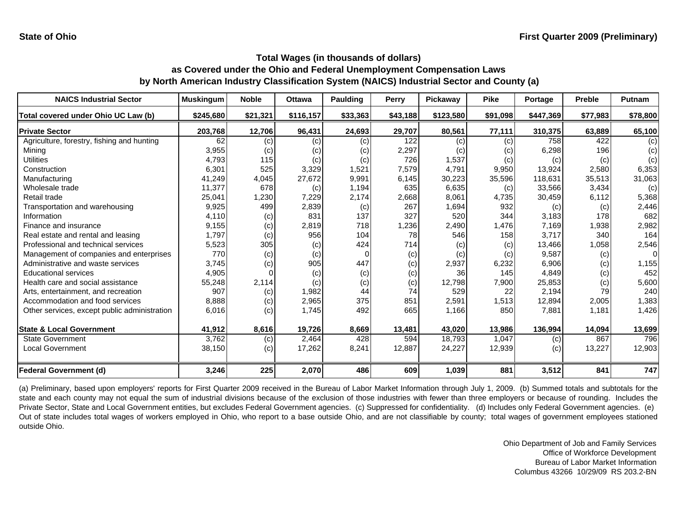| <b>NAICS Industrial Sector</b>               | <b>Muskingum</b> | <b>Noble</b> | <b>Ottawa</b> | <b>Paulding</b> | Perry    | Pickaway  | <b>Pike</b> | Portage   | <b>Preble</b> | Putnam   |
|----------------------------------------------|------------------|--------------|---------------|-----------------|----------|-----------|-------------|-----------|---------------|----------|
| Total covered under Ohio UC Law (b)          | \$245,680        | \$21,321     | \$116,157     | \$33,363        | \$43,188 | \$123,580 | \$91,098    | \$447,369 | \$77,983      | \$78,800 |
| <b>Private Sector</b>                        | 203,768          | 12,706       | 96,431        | 24,693          | 29,707   | 80,561    | 77,111      | 310,375   | 63,889        | 65,100   |
| Agriculture, forestry, fishing and hunting   | 62               | (c)          | (c)           | (c)             | 122      | (c)       | (c)         | 758       | 422           | (c)      |
| Mining                                       | 3,955            | (c)          | (c)           | (c)             | 2,297    | (c)       | (c)         | 6,298     | 196           | (c)      |
| Utilities                                    | 4,793            | 115          | (c)           | (c)             | 726      | 1,537     | (c)         | (c)       | (c)           | (c)      |
| Construction                                 | 6,301            | 525          | 3,329         | 1,521           | 7,579    | 4,791     | 9,950       | 13,924    | 2,580         | 6,353    |
| Manufacturing                                | 41,249           | 4,045        | 27,672        | 9,991           | 6,145    | 30,223    | 35,596      | 118,631   | 35,513        | 31,063   |
| Wholesale trade                              | 11,377           | 678          | (c)           | 1,194           | 635      | 6,635     | (c)         | 33,566    | 3.434         | (c)      |
| Retail trade                                 | 25,041           | 1,230        | 7,229         | 2,174           | 2,668    | 8,061     | 4,735       | 30,459    | 6,112         | 5,368    |
| Transportation and warehousing               | 9,925            | 499          | 2,839         | (c)             | 267      | 1,694     | 932         | (c)       | (c)           | 2,446    |
| Information                                  | 4.110            | (c)          | 831           | 137             | 327      | 520       | 344         | 3,183     | 178           | 682      |
| Finance and insurance                        | 9,155            | (c)          | 2,819         | 718             | 1,236    | 2,490     | 1,476       | 7,169     | 1,938         | 2,982    |
| Real estate and rental and leasing           | 1,797            | (c)          | 956           | 104             | 78       | 546       | 158         | 3,717     | 340           | 164      |
| Professional and technical services          | 5,523            | 305          | (c)           | 424             | 714      | (c)       | (c)         | 13,466    | 1,058         | 2,546    |
| Management of companies and enterprises      | 770              | (c)          | (c)           | O               | (c)      | (c)       | (c)         | 9,587     | (c)           | $\Omega$ |
| Administrative and waste services            | 3,745            | (c)          | 905           | 447             | (c)      | 2,937     | 6,232       | 6,906     | (c)           | 1,155    |
| <b>Educational services</b>                  | 4,905            |              | (c)           | (c)             | (c)      | 36        | 145         | 4,849     | (c)           | 452      |
| Health care and social assistance            | 55,248           | 2,114        | (c)           | (c)             | (c)      | 12,798    | 7,900       | 25,853    | (c)           | 5,600    |
| Arts, entertainment, and recreation          | 907              | (c)          | 1,982         | 44              | 74       | 529       | 22          | 2,194     | 79            | 240      |
| Accommodation and food services              | 8,888            | (c)          | 2,965         | 375             | 851      | 2,591     | 1,513       | 12,894    | 2,005         | 1,383    |
| Other services, except public administration | 6,016            | (c)          | 1,745         | 492             | 665      | 1,166     | 850         | 7,881     | 1,181         | 1,426    |
| <b>State &amp; Local Government</b>          | 41,912           | 8,616        | 19,726        | 8,669           | 13,481   | 43,020    | 13,986      | 136,994   | 14,094        | 13,699   |
| <b>State Government</b>                      | 3,762            | (c)          | 2,464         | 428             | 594      | 18,793    | 1,047       | (c)       | 867           | 796      |
| <b>Local Government</b>                      | 38,150           | (c)          | 17,262        | 8,241           | 12,887   | 24,227    | 12,939      | (c)       | 13,227        | 12,903   |
| <b>Federal Government (d)</b>                | 3,246            | 225          | 2,070         | 486             | 609      | 1,039     | 881         | 3,512     | 841           | 747      |

(a) Preliminary, based upon employers' reports for First Quarter 2009 received in the Bureau of Labor Market Information through July 1, 2009. (b) Summed totals and subtotals for the state and each county may not equal the sum of industrial divisions because of the exclusion of those industries with fewer than three employers or because of rounding. Includes the Private Sector, State and Local Government entities, but excludes Federal Government agencies. (c) Suppressed for confidentiality. (d) Includes only Federal Government agencies. (e) Out of state includes total wages of workers employed in Ohio, who report to <sup>a</sup> base outside Ohio, and are not classifiable by county; total wages of government employees stationed outside Ohio.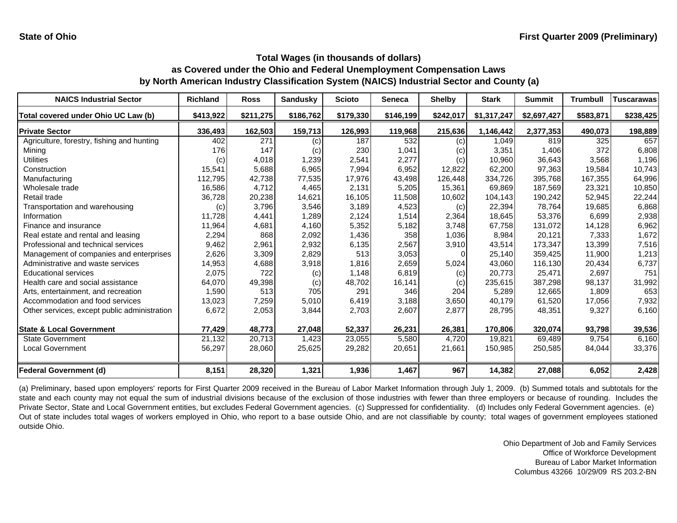| <b>NAICS Industrial Sector</b>               | <b>Richland</b> | <b>Ross</b> | <b>Sandusky</b> | <b>Scioto</b> | <b>Seneca</b> | <b>Shelby</b> | <b>Stark</b> | <b>Summit</b> | <b>Trumbull</b> | <b>Tuscarawas</b> |
|----------------------------------------------|-----------------|-------------|-----------------|---------------|---------------|---------------|--------------|---------------|-----------------|-------------------|
| Total covered under Ohio UC Law (b)          | \$413,922       | \$211,275   | \$186,762       | \$179,330     | \$146,199     | \$242,017     | \$1,317,247  | \$2,697,427   | \$583,871       | \$238,425         |
| <b>Private Sector</b>                        | 336,493         | 162,503     | 159,713         | 126,993       | 119,968       | 215,636       | 1,146,442    | 2,377,353     | 490,073         | 198,889           |
| Agriculture, forestry, fishing and hunting   | 402             | 271         | (c)             | 187           | 532           | (c)           | 1,049        | 819           | 325             | 657               |
| Mining                                       | 176             | 147         | (c)             | 230           | 1,041         | (c)           | 3,351        | 1,406         | 372             | 6,808             |
| Utilities                                    | (c)             | 4,018       | 1,239           | 2,541         | 2,277         | (c)           | 10,960       | 36,643        | 3,568           | 1,196             |
| Construction                                 | 15,541          | 5,688       | 6,965           | 7,994         | 6,952         | 12,822        | 62,200       | 97,363        | 19.584          | 10,743            |
| Manufacturing                                | 112,795         | 42,738      | 77,535          | 17,976        | 43,498        | 126,448       | 334,726      | 395,768       | 167,355         | 64,996            |
| Wholesale trade                              | 16,586          | 4,712       | 4,465           | 2.131         | 5,205         | 15,361        | 69.869       | 187,569       | 23,321          | 10,850            |
| Retail trade                                 | 36,728          | 20,238      | 14,621          | 16,105        | 11,508        | 10,602        | 104,143      | 190,242       | 52,945          | 22,244            |
| Transportation and warehousing               | (c)             | 3,796       | 3,546           | 3,189         | 4,523         | (c)           | 22,394       | 78,764        | 19,685          | 6,868             |
| Information                                  | 11,728          | 4,441       | 1,289           | 2,124         | 1,514         | 2,364         | 18,645       | 53,376        | 6,699           | 2,938             |
| Finance and insurance                        | 11,964          | 4,681       | 4,160           | 5,352         | 5,182         | 3,748         | 67,758       | 131,072       | 14,128          | 6,962             |
| Real estate and rental and leasing           | 2,294           | 868         | 2,092           | 1,436         | 358           | 1,036         | 8,984        | 20,121        | 7,333           | 1,672             |
| Professional and technical services          | 9,462           | 2,961       | 2,932           | 6,135         | 2,567         | 3,910         | 43,514       | 173,347       | 13,399          | 7,516             |
| Management of companies and enterprises      | 2,626           | 3,309       | 2,829           | 513           | 3,053         |               | 25,140       | 359,425       | 11,900          | 1,213             |
| Administrative and waste services            | 14,953          | 4,688       | 3,918           | 1,816         | 2,659         | 5,024         | 43,060       | 116,130       | 20,434          | 6,737             |
| <b>Educational services</b>                  | 2,075           | 722         | (c)             | 1,148         | 6,819         | (c)           | 20.773       | 25,471        | 2,697           | 751               |
| Health care and social assistance            | 64,070          | 49,398      | (c)             | 48,702        | 16,141        | (c)           | 235,615      | 387,298       | 98,137          | 31,992            |
| Arts, entertainment, and recreation          | 1,590           | 513         | 705             | 291           | 346           | 204           | 5,289        | 12,665        | 1,809           | 653               |
| Accommodation and food services              | 13,023          | 7,259       | 5,010           | 6,419         | 3,188         | 3,650         | 40,179       | 61,520        | 17,056          | 7,932             |
| Other services, except public administration | 6,672           | 2,053       | 3,844           | 2,703         | 2,607         | 2,877         | 28,795       | 48,351        | 9,327           | 6,160             |
| <b>State &amp; Local Government</b>          | 77,429          | 48,773      | 27,048          | 52,337        | 26,231        | 26,381        | 170,806      | 320,074       | 93,798          | 39,536            |
| <b>State Government</b>                      | 21,132          | 20,713      | 1,423           | 23,055        | 5,580         | 4,720         | 19.821       | 69,489        | 9.754           | 6,160             |
| Local Government                             | 56,297          | 28,060      | 25,625          | 29,282        | 20,651        | 21,661        | 150,985      | 250,585       | 84,044          | 33,376            |
| <b>Federal Government (d)</b>                | 8,151           | 28,320      | 1,321           | 1,936         | 1,467         | 967           | 14,382       | 27,088        | 6,052           | 2,428             |

(a) Preliminary, based upon employers' reports for First Quarter 2009 received in the Bureau of Labor Market Information through July 1, 2009. (b) Summed totals and subtotals for the state and each county may not equal the sum of industrial divisions because of the exclusion of those industries with fewer than three employers or because of rounding. Includes the Private Sector, State and Local Government entities, but excludes Federal Government agencies. (c) Suppressed for confidentiality. (d) Includes only Federal Government agencies. (e) Out of state includes total wages of workers employed in Ohio, who report to <sup>a</sup> base outside Ohio, and are not classifiable by county; total wages of government employees stationed outside Ohio.